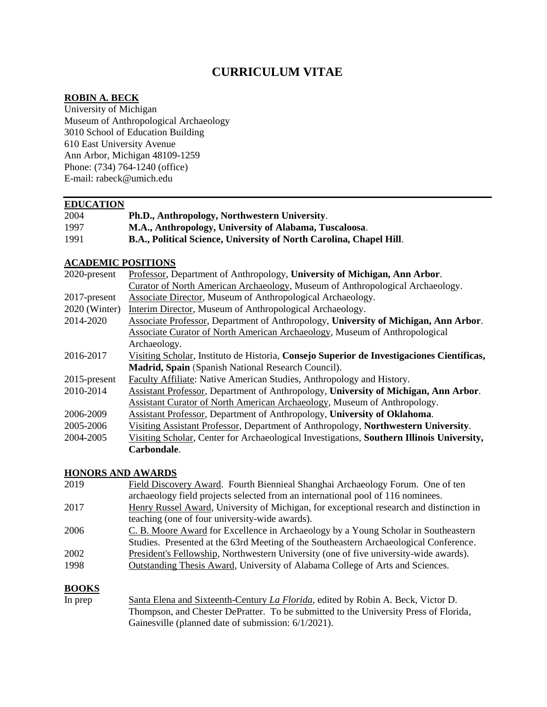## **CURRICULUM VITAE**

#### **ROBIN A. BECK**

University of Michigan Museum of Anthropological Archaeology 3010 School of Education Building 610 East University Avenue Ann Arbor, Michigan 48109-1259 Phone: (734) 764-1240 (office) E-mail: rabeck@umich.edu

#### **EDUCATION**

| 2004 | Ph.D., Anthropology, Northwestern University.                       |
|------|---------------------------------------------------------------------|
| 1997 | M.A., Anthropology, University of Alabama, Tuscaloosa.              |
| 1991 | B.A., Political Science, University of North Carolina, Chapel Hill. |

#### **ACADEMIC POSITIONS**

| 2020-present    | Professor, Department of Anthropology, University of Michigan, Ann Arbor.                 |
|-----------------|-------------------------------------------------------------------------------------------|
|                 | Curator of North American Archaeology, Museum of Anthropological Archaeology.             |
| 2017-present    | Associate Director, Museum of Anthropological Archaeology.                                |
| 2020 (Winter)   | Interim Director, Museum of Anthropological Archaeology.                                  |
| 2014-2020       | Associate Professor, Department of Anthropology, University of Michigan, Ann Arbor.       |
|                 | <b>Associate Curator of North American Archaeology, Museum of Anthropological</b>         |
|                 | Archaeology.                                                                              |
| 2016-2017       | Visiting Scholar, Instituto de Historia, Consejo Superior de Investigaciones Científicas, |
|                 | Madrid, Spain (Spanish National Research Council).                                        |
| $2015$ -present | Faculty Affiliate: Native American Studies, Anthropology and History.                     |
| 2010-2014       | Assistant Professor, Department of Anthropology, University of Michigan, Ann Arbor.       |
|                 | Assistant Curator of North American Archaeology, Museum of Anthropology.                  |
| 2006-2009       | Assistant Professor, Department of Anthropology, University of Oklahoma.                  |
| 2005-2006       | Visiting Assistant Professor, Department of Anthropology, Northwestern University.        |
| 2004-2005       | Visiting Scholar, Center for Archaeological Investigations, Southern Illinois University, |
|                 | Carbondale.                                                                               |

#### **HONORS AND AWARDS**

| 2019 | Field Discovery Award. Fourth Biennieal Shanghai Archaeology Forum. One of ten          |
|------|-----------------------------------------------------------------------------------------|
|      | archaeology field projects selected from an international pool of 116 nominees.         |
| 2017 | Henry Russel Award, University of Michigan, for exceptional research and distinction in |
|      | teaching (one of four university-wide awards).                                          |
| 2006 | C. B. Moore Award for Excellence in Archaeology by a Young Scholar in Southeastern      |
|      | Studies. Presented at the 63rd Meeting of the Southeastern Archaeological Conference.   |
| 2002 | President's Fellowship, Northwestern University (one of five university-wide awards).   |
| 1998 | Outstanding Thesis Award, University of Alabama College of Arts and Sciences.           |
|      |                                                                                         |

## **BOOKS**

In prep Santa Elena and Sixteenth-Century *La Florida*, edited by Robin A. Beck, Victor D. Thompson, and Chester DePratter. To be submitted to the University Press of Florida, Gainesville (planned date of submission: 6/1/2021).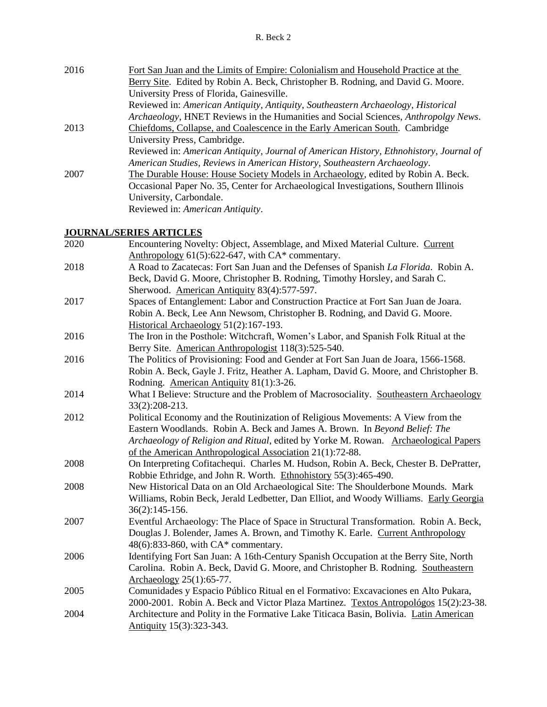| 2016 | Fort San Juan and the Limits of Empire: Colonialism and Household Practice at the      |
|------|----------------------------------------------------------------------------------------|
|      | Berry Site. Edited by Robin A. Beck, Christopher B. Rodning, and David G. Moore.       |
|      | University Press of Florida, Gainesville.                                              |
|      | Reviewed in: American Antiquity, Antiquity, Southeastern Archaeology, Historical       |
|      | Archaeology, HNET Reviews in the Humanities and Social Sciences, Anthropolgy News.     |
| 2013 | Chiefdoms, Collapse, and Coalescence in the Early American South. Cambridge            |
|      | University Press, Cambridge.                                                           |
|      | Reviewed in: American Antiquity, Journal of American History, Ethnohistory, Journal of |
|      | American Studies, Reviews in American History, Southeastern Archaeology.               |
| 2007 | The Durable House: House Society Models in Archaeology, edited by Robin A. Beck.       |
|      | Occasional Paper No. 35, Center for Archaeological Investigations, Southern Illinois   |
|      | University, Carbondale.                                                                |
|      | Reviewed in: American Antiquity.                                                       |
|      |                                                                                        |

## **JOURNAL/SERIES ARTICLES**

| 2020 | Encountering Novelty: Object, Assemblage, and Mixed Material Culture. Current         |
|------|---------------------------------------------------------------------------------------|
|      | Anthropology $61(5)$ :622-647, with CA* commentary.                                   |
| 2018 | A Road to Zacatecas: Fort San Juan and the Defenses of Spanish La Florida. Robin A.   |
|      | Beck, David G. Moore, Christopher B. Rodning, Timothy Horsley, and Sarah C.           |
|      | Sherwood. American Antiquity 83(4):577-597.                                           |
| 2017 | Spaces of Entanglement: Labor and Construction Practice at Fort San Juan de Joara.    |
|      | Robin A. Beck, Lee Ann Newsom, Christopher B. Rodning, and David G. Moore.            |
|      | Historical Archaeology 51(2):167-193.                                                 |
| 2016 | The Iron in the Posthole: Witchcraft, Women's Labor, and Spanish Folk Ritual at the   |
|      | Berry Site. American Anthropologist 118(3):525-540.                                   |
| 2016 | The Politics of Provisioning: Food and Gender at Fort San Juan de Joara, 1566-1568.   |
|      | Robin A. Beck, Gayle J. Fritz, Heather A. Lapham, David G. Moore, and Christopher B.  |
|      | Rodning. American Antiquity 81(1):3-26.                                               |
| 2014 | What I Believe: Structure and the Problem of Macrosociality. Southeastern Archaeology |
|      | 33(2):208-213.                                                                        |
| 2012 | Political Economy and the Routinization of Religious Movements: A View from the       |
|      | Eastern Woodlands. Robin A. Beck and James A. Brown. In Beyond Belief: The            |
|      | Archaeology of Religion and Ritual, edited by Yorke M. Rowan. Archaeological Papers   |
|      | of the American Anthropological Association 21(1):72-88.                              |
| 2008 | On Interpreting Cofitachequi. Charles M. Hudson, Robin A. Beck, Chester B. DePratter, |
|      | Robbie Ethridge, and John R. Worth. Ethnohistory 55(3):465-490.                       |
| 2008 | New Historical Data on an Old Archaeological Site: The Shoulderbone Mounds. Mark      |
|      | Williams, Robin Beck, Jerald Ledbetter, Dan Elliot, and Woody Williams. Early Georgia |
|      | $36(2):145-156.$                                                                      |
| 2007 | Eventful Archaeology: The Place of Space in Structural Transformation. Robin A. Beck, |
|      | Douglas J. Bolender, James A. Brown, and Timothy K. Earle. Current Anthropology       |
|      | 48(6):833-860, with CA* commentary.                                                   |
| 2006 | Identifying Fort San Juan: A 16th-Century Spanish Occupation at the Berry Site, North |
|      | Carolina. Robin A. Beck, David G. Moore, and Christopher B. Rodning. Southeastern     |
|      | Archaeology 25(1):65-77.                                                              |
| 2005 | Comunidades y Espacio Público Ritual en el Formativo: Excavaciones en Alto Pukara,    |
|      | 2000-2001. Robin A. Beck and Victor Plaza Martinez. Textos Antropológos 15(2):23-38.  |
| 2004 | Architecture and Polity in the Formative Lake Titicaca Basin, Bolivia. Latin American |
|      | Antiquity 15(3):323-343.                                                              |
|      |                                                                                       |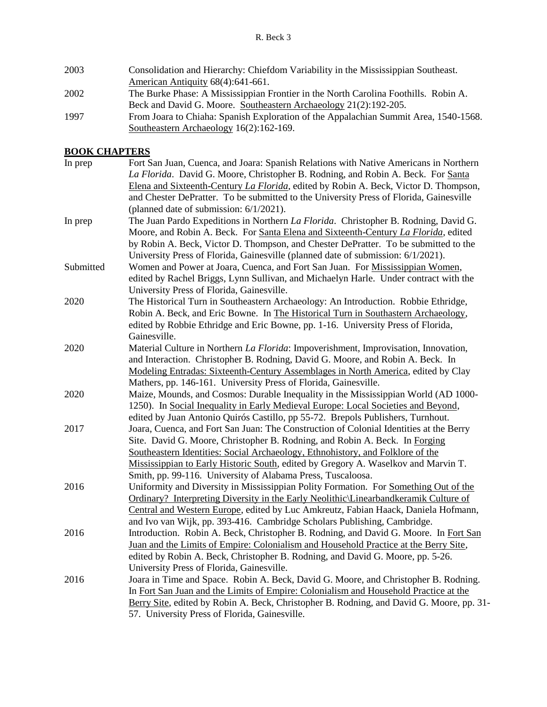| 2003 | Consolidation and Hierarchy: Chiefdom Variability in the Mississippian Southeast.    |
|------|--------------------------------------------------------------------------------------|
|      | American Antiquity 68(4):641-661.                                                    |
| 2002 | The Burke Phase: A Mississippian Frontier in the North Carolina Foothills. Robin A.  |
|      | Beck and David G. Moore. Southeastern Archaeology 21(2):192-205.                     |
| 1997 | From Joara to Chiaha: Spanish Exploration of the Appalachian Summit Area, 1540-1568. |
|      | Southeastern Archaeology 16(2):162-169.                                              |

## **BOOK CHAPTERS**

| In prep   | Fort San Juan, Cuenca, and Joara: Spanish Relations with Native Americans in Northern    |
|-----------|------------------------------------------------------------------------------------------|
|           | La Florida. David G. Moore, Christopher B. Rodning, and Robin A. Beck. For Santa         |
|           | Elena and Sixteenth-Century La Florida, edited by Robin A. Beck, Victor D. Thompson,     |
|           | and Chester DePratter. To be submitted to the University Press of Florida, Gainesville   |
|           | (planned date of submission: 6/1/2021).                                                  |
| In prep   | The Juan Pardo Expeditions in Northern La Florida. Christopher B. Rodning, David G.      |
|           | Moore, and Robin A. Beck. For Santa Elena and Sixteenth-Century La Florida, edited       |
|           | by Robin A. Beck, Victor D. Thompson, and Chester DePratter. To be submitted to the      |
|           | University Press of Florida, Gainesville (planned date of submission: 6/1/2021).         |
| Submitted | Women and Power at Joara, Cuenca, and Fort San Juan. For Mississippian Women,            |
|           | edited by Rachel Briggs, Lynn Sullivan, and Michaelyn Harle. Under contract with the     |
|           | University Press of Florida, Gainesville.                                                |
| 2020      | The Historical Turn in Southeastern Archaeology: An Introduction. Robbie Ethridge,       |
|           | Robin A. Beck, and Eric Bowne. In The Historical Turn in Southastern Archaeology,        |
|           | edited by Robbie Ethridge and Eric Bowne, pp. 1-16. University Press of Florida,         |
|           | Gainesville.                                                                             |
| 2020      | Material Culture in Northern La Florida: Impoverishment, Improvisation, Innovation,      |
|           | and Interaction. Christopher B. Rodning, David G. Moore, and Robin A. Beck. In           |
|           | Modeling Entradas: Sixteenth-Century Assemblages in North America, edited by Clay        |
|           | Mathers, pp. 146-161. University Press of Florida, Gainesville.                          |
| 2020      | Maize, Mounds, and Cosmos: Durable Inequality in the Mississippian World (AD 1000-       |
|           | 1250). In Social Inequality in Early Medieval Europe: Local Societies and Beyond,        |
|           | edited by Juan Antonio Quirós Castillo, pp 55-72. Brepols Publishers, Turnhout.          |
| 2017      | Joara, Cuenca, and Fort San Juan: The Construction of Colonial Identities at the Berry   |
|           | Site. David G. Moore, Christopher B. Rodning, and Robin A. Beck. In Forging              |
|           | Southeastern Identities: Social Archaeology, Ethnohistory, and Folklore of the           |
|           | Mississippian to Early Historic South, edited by Gregory A. Waselkov and Marvin T.       |
|           | Smith, pp. 99-116. University of Alabama Press, Tuscaloosa.                              |
| 2016      | Uniformity and Diversity in Mississippian Polity Formation. For Something Out of the     |
|           | Ordinary? Interpreting Diversity in the Early Neolithic Linearbandkeramik Culture of     |
|           | Central and Western Europe, edited by Luc Amkreutz, Fabian Haack, Daniela Hofmann,       |
|           | and Ivo van Wijk, pp. 393-416. Cambridge Scholars Publishing, Cambridge.                 |
| 2016      | Introduction. Robin A. Beck, Christopher B. Rodning, and David G. Moore. In Fort San     |
|           | Juan and the Limits of Empire: Colonialism and Household Practice at the Berry Site,     |
|           | edited by Robin A. Beck, Christopher B. Rodning, and David G. Moore, pp. 5-26.           |
|           | University Press of Florida, Gainesville.                                                |
| 2016      | Joara in Time and Space. Robin A. Beck, David G. Moore, and Christopher B. Rodning.      |
|           | In Fort San Juan and the Limits of Empire: Colonialism and Household Practice at the     |
|           | Berry Site, edited by Robin A. Beck, Christopher B. Rodning, and David G. Moore, pp. 31- |
|           | 57. University Press of Florida, Gainesville.                                            |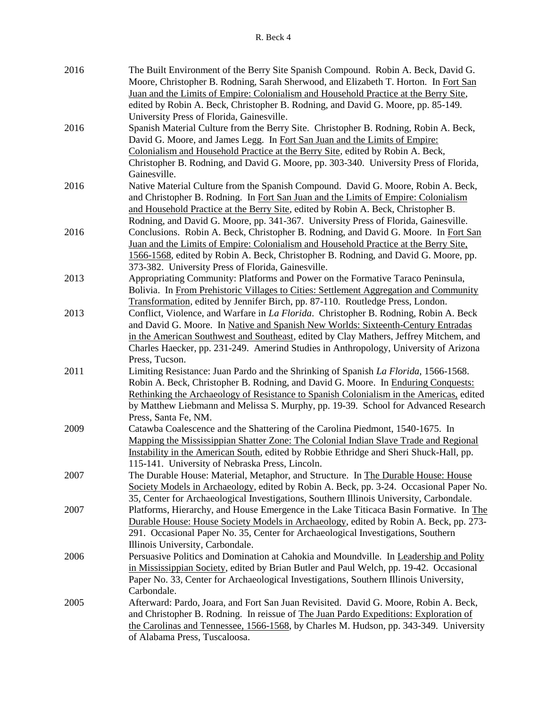| 2016 | The Built Environment of the Berry Site Spanish Compound. Robin A. Beck, David G.<br>Moore, Christopher B. Rodning, Sarah Sherwood, and Elizabeth T. Horton. In Fort San     |
|------|------------------------------------------------------------------------------------------------------------------------------------------------------------------------------|
|      | Juan and the Limits of Empire: Colonialism and Household Practice at the Berry Site,                                                                                         |
|      | edited by Robin A. Beck, Christopher B. Rodning, and David G. Moore, pp. 85-149.                                                                                             |
|      | University Press of Florida, Gainesville.                                                                                                                                    |
| 2016 | Spanish Material Culture from the Berry Site. Christopher B. Rodning, Robin A. Beck,                                                                                         |
|      | David G. Moore, and James Legg. In Fort San Juan and the Limits of Empire:                                                                                                   |
|      | Colonialism and Household Practice at the Berry Site, edited by Robin A. Beck,                                                                                               |
|      | Christopher B. Rodning, and David G. Moore, pp. 303-340. University Press of Florida,                                                                                        |
|      | Gainesville.                                                                                                                                                                 |
| 2016 | Native Material Culture from the Spanish Compound. David G. Moore, Robin A. Beck,                                                                                            |
|      | and Christopher B. Rodning. In Fort San Juan and the Limits of Empire: Colonialism                                                                                           |
|      | and Household Practice at the Berry Site, edited by Robin A. Beck, Christopher B.                                                                                            |
|      | Rodning, and David G. Moore, pp. 341-367. University Press of Florida, Gainesville.                                                                                          |
| 2016 | Conclusions. Robin A. Beck, Christopher B. Rodning, and David G. Moore. In Fort San                                                                                          |
|      | Juan and the Limits of Empire: Colonialism and Household Practice at the Berry Site,                                                                                         |
|      | 1566-1568, edited by Robin A. Beck, Christopher B. Rodning, and David G. Moore, pp.<br>373-382. University Press of Florida, Gainesville.                                    |
| 2013 | Appropriating Community: Platforms and Power on the Formative Taraco Peninsula,                                                                                              |
|      | Bolivia. In From Prehistoric Villages to Cities: Settlement Aggregation and Community                                                                                        |
|      | Transformation, edited by Jennifer Birch, pp. 87-110. Routledge Press, London.                                                                                               |
| 2013 | Conflict, Violence, and Warfare in <i>La Florida</i> . Christopher B. Rodning, Robin A. Beck                                                                                 |
|      | and David G. Moore. In Native and Spanish New Worlds: Sixteenth-Century Entradas                                                                                             |
|      | in the American Southwest and Southeast, edited by Clay Mathers, Jeffrey Mitchem, and                                                                                        |
|      | Charles Haecker, pp. 231-249. Amerind Studies in Anthropology, University of Arizona                                                                                         |
|      | Press, Tucson.                                                                                                                                                               |
| 2011 | Limiting Resistance: Juan Pardo and the Shrinking of Spanish La Florida, 1566-1568.                                                                                          |
|      | Robin A. Beck, Christopher B. Rodning, and David G. Moore. In Enduring Conquests:                                                                                            |
|      | Rethinking the Archaeology of Resistance to Spanish Colonialism in the Americas, edited                                                                                      |
|      | by Matthew Liebmann and Melissa S. Murphy, pp. 19-39. School for Advanced Research                                                                                           |
|      | Press, Santa Fe, NM.                                                                                                                                                         |
| 2009 | Catawba Coalescence and the Shattering of the Carolina Piedmont, 1540-1675. In                                                                                               |
|      | Mapping the Mississippian Shatter Zone: The Colonial Indian Slave Trade and Regional                                                                                         |
|      | Instability in the American South, edited by Robbie Ethridge and Sheri Shuck-Hall, pp.                                                                                       |
|      | 115-141. University of Nebraska Press, Lincoln.                                                                                                                              |
| 2007 | The Durable House: Material, Metaphor, and Structure. In The Durable House: House                                                                                            |
|      | Society Models in Archaeology, edited by Robin A. Beck, pp. 3-24. Occasional Paper No.                                                                                       |
|      | 35, Center for Archaeological Investigations, Southern Illinois University, Carbondale.                                                                                      |
| 2007 | Platforms, Hierarchy, and House Emergence in the Lake Titicaca Basin Formative. In The                                                                                       |
|      | Durable House: House Society Models in Archaeology, edited by Robin A. Beck, pp. 273-                                                                                        |
|      | 291. Occasional Paper No. 35, Center for Archaeological Investigations, Southern                                                                                             |
|      | Illinois University, Carbondale.                                                                                                                                             |
| 2006 | Persuasive Politics and Domination at Cahokia and Moundville. In Leadership and Polity                                                                                       |
|      | in Mississippian Society, edited by Brian Butler and Paul Welch, pp. 19-42. Occasional                                                                                       |
|      | Paper No. 33, Center for Archaeological Investigations, Southern Illinois University,<br>Carbondale.                                                                         |
|      |                                                                                                                                                                              |
| 2005 | Afterward: Pardo, Joara, and Fort San Juan Revisited. David G. Moore, Robin A. Beck,<br>and Christopher B. Rodning. In reissue of The Juan Pardo Expeditions: Exploration of |
|      | the Carolinas and Tennessee, 1566-1568, by Charles M. Hudson, pp. 343-349. University                                                                                        |
|      | of Alabama Press, Tuscaloosa.                                                                                                                                                |
|      |                                                                                                                                                                              |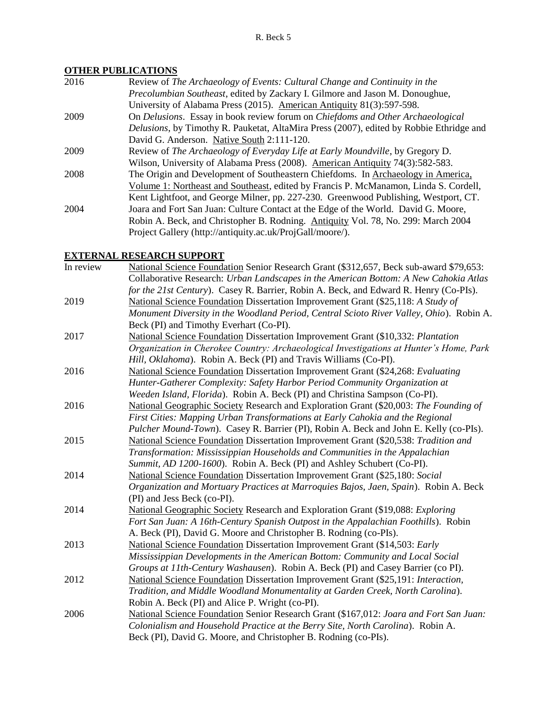## **OTHER PUBLICATIONS**

| Review of The Archaeology of Events: Cultural Change and Continuity in the              |
|-----------------------------------------------------------------------------------------|
| Precolumbian Southeast, edited by Zackary I. Gilmore and Jason M. Donoughue,            |
| University of Alabama Press (2015). American Antiquity 81(3):597-598.                   |
| On Delusions. Essay in book review forum on Chiefdoms and Other Archaeological          |
| Delusions, by Timothy R. Pauketat, AltaMira Press (2007), edited by Robbie Ethridge and |
| David G. Anderson. Native South 2:111-120.                                              |
| Review of The Archaeology of Everyday Life at Early Moundville, by Gregory D.           |
| Wilson, University of Alabama Press (2008). American Antiquity 74(3):582-583.           |
| The Origin and Development of Southeastern Chiefdoms. In Archaeology in America,        |
| Volume 1: Northeast and Southeast, edited by Francis P. McManamon, Linda S. Cordell,    |
| Kent Lightfoot, and George Milner, pp. 227-230. Greenwood Publishing, Westport, CT.     |
| Joara and Fort San Juan: Culture Contact at the Edge of the World. David G. Moore,      |
| Robin A. Beck, and Christopher B. Rodning. Antiquity Vol. 78, No. 299: March 2004       |
| Project Gallery (http://antiquity.ac.uk/ProjGall/moore/).                               |
|                                                                                         |

## **EXTERNAL RESEARCH SUPPORT**

| In review | National Science Foundation Senior Research Grant (\$312,657, Beck sub-award \$79,653:  |
|-----------|-----------------------------------------------------------------------------------------|
|           | Collaborative Research: Urban Landscapes in the American Bottom: A New Cahokia Atlas    |
|           | for the 21st Century). Casey R. Barrier, Robin A. Beck, and Edward R. Henry (Co-PIs).   |
| 2019      | National Science Foundation Dissertation Improvement Grant (\$25,118: A Study of        |
|           | Monument Diversity in the Woodland Period, Central Scioto River Valley, Ohio). Robin A. |
|           | Beck (PI) and Timothy Everhart (Co-PI).                                                 |
| 2017      | National Science Foundation Dissertation Improvement Grant (\$10,332: Plantation        |
|           | Organization in Cherokee Country: Archaeological Investigations at Hunter's Home, Park  |
|           | Hill, Oklahoma). Robin A. Beck (PI) and Travis Williams (Co-PI).                        |
| 2016      | National Science Foundation Dissertation Improvement Grant (\$24,268: Evaluating        |
|           | Hunter-Gatherer Complexity: Safety Harbor Period Community Organization at              |
|           | Weeden Island, Florida). Robin A. Beck (PI) and Christina Sampson (Co-PI).              |
| 2016      | National Geographic Society Research and Exploration Grant (\$20,003: The Founding of   |
|           | First Cities: Mapping Urban Transformations at Early Cahokia and the Regional           |
|           | Pulcher Mound-Town). Casey R. Barrier (PI), Robin A. Beck and John E. Kelly (co-PIs).   |
| 2015      | National Science Foundation Dissertation Improvement Grant (\$20,538: Tradition and     |
|           | Transformation: Mississippian Households and Communities in the Appalachian             |
|           | Summit, AD 1200-1600). Robin A. Beck (PI) and Ashley Schubert (Co-PI).                  |
| 2014      | National Science Foundation Dissertation Improvement Grant (\$25,180: Social            |
|           | Organization and Mortuary Practices at Marroquies Bajos, Jaen, Spain). Robin A. Beck    |
|           | (PI) and Jess Beck (co-PI).                                                             |
| 2014      | National Geographic Society Research and Exploration Grant (\$19,088: Exploring         |
|           | Fort San Juan: A 16th-Century Spanish Outpost in the Appalachian Foothills). Robin      |
|           | A. Beck (PI), David G. Moore and Christopher B. Rodning (co-PIs).                       |
| 2013      | National Science Foundation Dissertation Improvement Grant (\$14,503: Early             |
|           | Mississippian Developments in the American Bottom: Community and Local Social           |
|           | Groups at 11th-Century Washausen). Robin A. Beck (PI) and Casey Barrier (co PI).        |
| 2012      | National Science Foundation Dissertation Improvement Grant (\$25,191: Interaction,      |
|           | Tradition, and Middle Woodland Monumentality at Garden Creek, North Carolina).          |
|           | Robin A. Beck (PI) and Alice P. Wright (co-PI).                                         |
| 2006      | National Science Foundation Senior Research Grant (\$167,012: Joara and Fort San Juan:  |
|           | Colonialism and Household Practice at the Berry Site, North Carolina). Robin A.         |
|           | Beck (PI), David G. Moore, and Christopher B. Rodning (co-PIs).                         |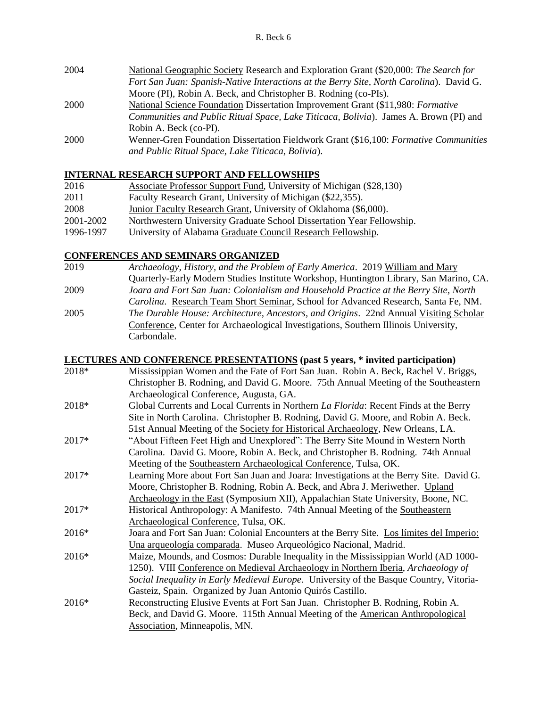| 2004 | National Geographic Society Research and Exploration Grant (\$20,000: The Search for    |
|------|-----------------------------------------------------------------------------------------|
|      | Fort San Juan: Spanish-Native Interactions at the Berry Site, North Carolina). David G. |
|      | Moore (PI), Robin A. Beck, and Christopher B. Rodning (co-PIs).                         |
| 2000 | National Science Foundation Dissertation Improvement Grant (\$11,980: Formative         |
|      | Communities and Public Ritual Space, Lake Titicaca, Bolivia). James A. Brown (PI) and   |
|      | Robin A. Beck (co-PI).                                                                  |
| 2000 | Wenner-Gren Foundation Dissertation Fieldwork Grant (\$16,100: Formative Communities    |
|      | and Public Ritual Space, Lake Titicaca, Bolivia).                                       |

## **INTERNAL RESEARCH SUPPORT AND FELLOWSHIPS**

| 2016      | Associate Professor Support Fund, University of Michigan (\$28,130)   |
|-----------|-----------------------------------------------------------------------|
| 2011      | Faculty Research Grant, University of Michigan (\$22,355).            |
| 2008      | Junior Faculty Research Grant, University of Oklahoma (\$6,000).      |
| 2001-2002 | Northwestern University Graduate School Dissertation Year Fellowship. |
| 1996-1997 | University of Alabama Graduate Council Research Fellowship.           |

#### **CONFERENCES AND SEMINARS ORGANIZED**

2019 *Archaeology, History, and the Problem of Early America*. 2019 William and Mary Quarterly-Early Modern Studies Institute Workshop, Huntington Library, San Marino, CA. 2009 *Joara and Fort San Juan: Colonialism and Household Practice at the Berry Site, North Carolina*. Research Team Short Seminar, School for Advanced Research, Santa Fe, NM. 2005 *The Durable House: Architecture, Ancestors, and Origins*. 22nd Annual Visiting Scholar Conference, Center for Archaeological Investigations, Southern Illinois University, Carbondale.

#### **LECTURES AND CONFERENCE PRESENTATIONS (past 5 years, \* invited participation)**

| 2018* | Mississippian Women and the Fate of Fort San Juan. Robin A. Beck, Rachel V. Briggs,          |
|-------|----------------------------------------------------------------------------------------------|
|       | Christopher B. Rodning, and David G. Moore. 75th Annual Meeting of the Southeastern          |
|       | Archaeological Conference, Augusta, GA.                                                      |
| 2018* | Global Currents and Local Currents in Northern <i>La Florida</i> : Recent Finds at the Berry |
|       | Site in North Carolina. Christopher B. Rodning, David G. Moore, and Robin A. Beck.           |
|       | 51st Annual Meeting of the Society for Historical Archaeology, New Orleans, LA.              |
| 2017* | "About Fifteen Feet High and Unexplored": The Berry Site Mound in Western North              |
|       | Carolina. David G. Moore, Robin A. Beck, and Christopher B. Rodning. 74th Annual             |
|       | Meeting of the Southeastern Archaeological Conference, Tulsa, OK.                            |
| 2017* | Learning More about Fort San Juan and Joara: Investigations at the Berry Site. David G.      |
|       | Moore, Christopher B. Rodning, Robin A. Beck, and Abra J. Meriwether. Upland                 |
|       | Archaeology in the East (Symposium XII), Appalachian State University, Boone, NC.            |
| 2017* | Historical Anthropology: A Manifesto. 74th Annual Meeting of the Southeastern                |
|       | Archaeological Conference, Tulsa, OK.                                                        |
| 2016* | Joara and Fort San Juan: Colonial Encounters at the Berry Site. Los límites del Imperio:     |
|       | Una arqueología comparada. Museo Arqueológico Nacional, Madrid.                              |
| 2016* | Maize, Mounds, and Cosmos: Durable Inequality in the Mississippian World (AD 1000-           |
|       | 1250). VIII Conference on Medieval Archaeology in Northern Iberia, Archaeology of            |
|       | Social Inequality in Early Medieval Europe. University of the Basque Country, Vitoria-       |
|       | Gasteiz, Spain. Organized by Juan Antonio Quirós Castillo.                                   |
| 2016* | Reconstructing Elusive Events at Fort San Juan. Christopher B. Rodning, Robin A.             |
|       | Beck, and David G. Moore. 115th Annual Meeting of the American Anthropological               |
|       | Association, Minneapolis, MN.                                                                |
|       |                                                                                              |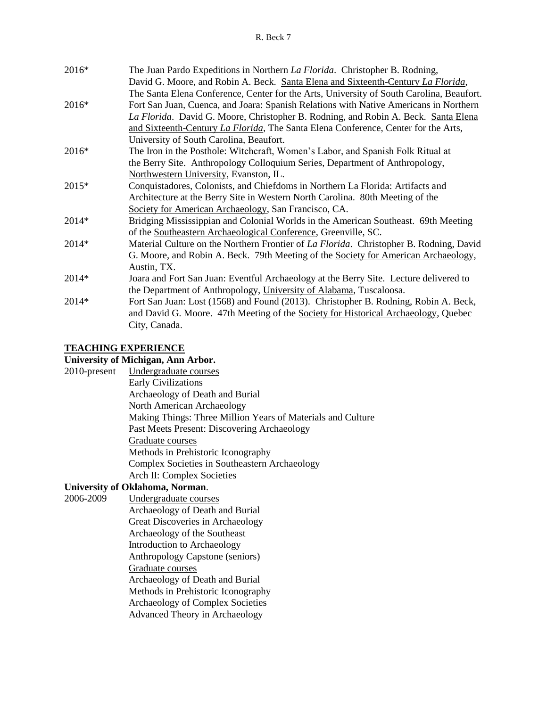#### R. Beck 7

| 2016*   | The Juan Pardo Expeditions in Northern <i>La Florida</i> . Christopher B. Rodning,             |
|---------|------------------------------------------------------------------------------------------------|
|         | David G. Moore, and Robin A. Beck. Santa Elena and Sixteenth-Century La Florida,               |
|         | The Santa Elena Conference, Center for the Arts, University of South Carolina, Beaufort.       |
| 2016*   | Fort San Juan, Cuenca, and Joara: Spanish Relations with Native Americans in Northern          |
|         | La Florida. David G. Moore, Christopher B. Rodning, and Robin A. Beck. Santa Elena             |
|         | and Sixteenth-Century La Florida, The Santa Elena Conference, Center for the Arts,             |
|         | University of South Carolina, Beaufort.                                                        |
| $2016*$ | The Iron in the Posthole: Witchcraft, Women's Labor, and Spanish Folk Ritual at                |
|         | the Berry Site. Anthropology Colloquium Series, Department of Anthropology,                    |
|         | Northwestern University, Evanston, IL.                                                         |
| 2015*   | Conquistadores, Colonists, and Chiefdoms in Northern La Florida: Artifacts and                 |
|         | Architecture at the Berry Site in Western North Carolina. 80th Meeting of the                  |
|         | Society for American Archaeology, San Francisco, CA.                                           |
| 2014*   | Bridging Mississippian and Colonial Worlds in the American Southeast. 69th Meeting             |
|         | of the Southeastern Archaeological Conference, Greenville, SC.                                 |
| 2014*   | Material Culture on the Northern Frontier of <i>La Florida</i> . Christopher B. Rodning, David |
|         | G. Moore, and Robin A. Beck. 79th Meeting of the Society for American Archaeology,             |
|         | Austin, TX.                                                                                    |
| 2014*   | Joara and Fort San Juan: Eventful Archaeology at the Berry Site. Lecture delivered to          |
|         | the Department of Anthropology, University of Alabama, Tuscaloosa.                             |
| 2014*   | Fort San Juan: Lost (1568) and Found (2013). Christopher B. Rodning, Robin A. Beck,            |
|         | and David G. Moore. 47th Meeting of the Society for Historical Archaeology, Quebec             |
|         | City, Canada.                                                                                  |

## **TEACHING EXPERIENCE**

## **University of Michigan, Ann Arbor.**

| 2010-present | Undergraduate courses                                       |
|--------------|-------------------------------------------------------------|
|              | <b>Early Civilizations</b>                                  |
|              | Archaeology of Death and Burial                             |
|              | North American Archaeology                                  |
|              | Making Things: Three Million Years of Materials and Culture |
|              | Past Meets Present: Discovering Archaeology                 |
|              | Graduate courses                                            |
|              | Methods in Prehistoric Iconography                          |
|              | Complex Societies in Southeastern Archaeology               |
|              | Arch II: Complex Societies                                  |
|              | University of Oklahoma, Norman.                             |

- 2006-2009 Undergraduate courses
	- Archaeology of Death and Burial
	- Great Discoveries in Archaeology
	- Archaeology of the Southeast
	- Introduction to Archaeology
	- Anthropology Capstone (seniors)
	- Graduate courses
	- Archaeology of Death and Burial
	- Methods in Prehistoric Iconography
	- Archaeology of Complex Societies
	- Advanced Theory in Archaeology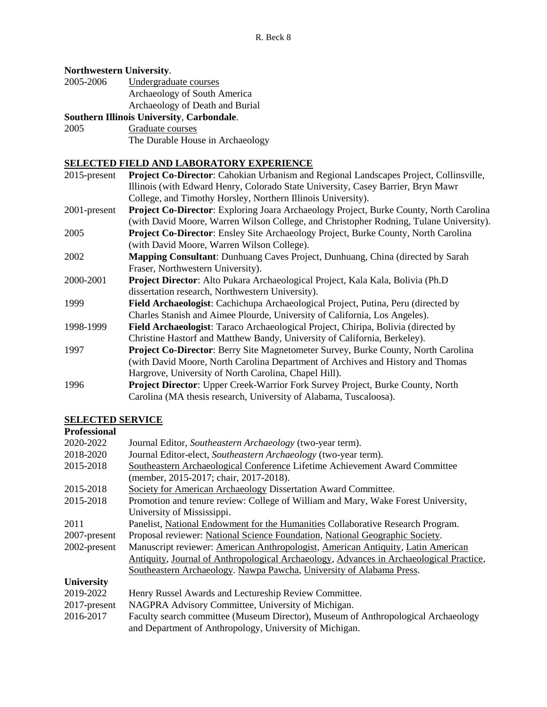#### **Northwestern University**.

| 2005-2006 | Undergraduate courses           |
|-----------|---------------------------------|
|           | Archaeology of South America    |
|           | Archaeology of Death and Burial |
|           |                                 |

## **Southern Illinois University**, **Carbondale**.

2005 Graduate courses

The Durable House in Archaeology

#### **SELECTED FIELD AND LABORATORY EXPERIENCE**

| $2015$ -present | <b>Project Co-Director:</b> Cahokian Urbanism and Regional Landscapes Project, Collinsville,  |
|-----------------|-----------------------------------------------------------------------------------------------|
|                 | Illinois (with Edward Henry, Colorado State University, Casey Barrier, Bryn Mawr              |
|                 | College, and Timothy Horsley, Northern Illinois University).                                  |
| 2001-present    | <b>Project Co-Director:</b> Exploring Joara Archaeology Project, Burke County, North Carolina |
|                 | (with David Moore, Warren Wilson College, and Christopher Rodning, Tulane University).        |
| 2005            | <b>Project Co-Director:</b> Ensley Site Archaeology Project, Burke County, North Carolina     |
|                 | (with David Moore, Warren Wilson College).                                                    |
| 2002            | Mapping Consultant: Dunhuang Caves Project, Dunhuang, China (directed by Sarah                |
|                 | Fraser, Northwestern University).                                                             |
| 2000-2001       | <b>Project Director:</b> Alto Pukara Archaeological Project, Kala Kala, Bolivia (Ph.D)        |
|                 | dissertation research, Northwestern University).                                              |
| 1999            | Field Archaeologist: Cachichupa Archaeological Project, Putina, Peru (directed by             |
|                 | Charles Stanish and Aimee Plourde, University of California, Los Angeles).                    |
| 1998-1999       | Field Archaeologist: Taraco Archaeological Project, Chiripa, Bolivia (directed by             |
|                 | Christine Hastorf and Matthew Bandy, University of California, Berkeley).                     |
| 1997            | <b>Project Co-Director:</b> Berry Site Magnetometer Survey, Burke County, North Carolina      |
|                 | (with David Moore, North Carolina Department of Archives and History and Thomas               |
|                 | Hargrove, University of North Carolina, Chapel Hill).                                         |
| 1996            | <b>Project Director:</b> Upper Creek-Warrior Fork Survey Project, Burke County, North         |
|                 | Carolina (MA thesis research, University of Alabama, Tuscaloosa).                             |
|                 |                                                                                               |

## **SELECTED SERVICE**

#### **Professional** 2020-2022 Journal Editor, *Southeastern Archaeology* (two-year term). 2018-2020 Journal Editor-elect, *Southeastern Archaeology* (two-year term). 2015-2018 Southeastern Archaeological Conference Lifetime Achievement Award Committee (member, 2015-2017; chair, 2017-2018). 2015-2018 Society for American Archaeology Dissertation Award Committee. 2015-2018 Promotion and tenure review: College of William and Mary, Wake Forest University, University of Mississippi. 2011 Panelist, National Endowment for the Humanities Collaborative Research Program. 2007-present Proposal reviewer: National Science Foundation, National Geographic Society. 2002-present Manuscript reviewer: American Anthropologist, American Antiquity, Latin American Antiquity, Journal of Anthropological Archaeology, Advances in Archaeological Practice, Southeastern Archaeology. Nawpa Pawcha, University of Alabama Press. **University** 2019-2022 Henry Russel Awards and Lectureship Review Committee. 2017-present NAGPRA Advisory Committee, University of Michigan. 2016-2017 Faculty search committee (Museum Director), Museum of Anthropological Archaeology and Department of Anthropology, University of Michigan.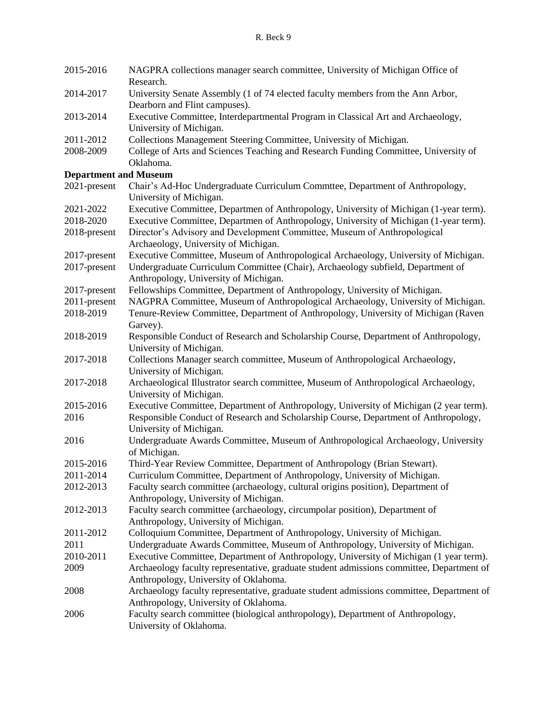| 2015-2016                    | NAGPRA collections manager search committee, University of Michigan Office of<br>Research.                                        |
|------------------------------|-----------------------------------------------------------------------------------------------------------------------------------|
| 2014-2017                    | University Senate Assembly (1 of 74 elected faculty members from the Ann Arbor,<br>Dearborn and Flint campuses).                  |
| 2013-2014                    | Executive Committee, Interdepartmental Program in Classical Art and Archaeology,<br>University of Michigan.                       |
| 2011-2012                    | Collections Management Steering Committee, University of Michigan.                                                                |
| 2008-2009                    | College of Arts and Sciences Teaching and Research Funding Committee, University of<br>Oklahoma.                                  |
| <b>Department and Museum</b> |                                                                                                                                   |
| 2021-present                 | Chair's Ad-Hoc Undergraduate Curriculum Commttee, Department of Anthropology,<br>University of Michigan.                          |
| 2021-2022                    | Executive Committee, Departmen of Anthropology, University of Michigan (1-year term).                                             |
| 2018-2020                    | Executive Committee, Departmen of Anthropology, University of Michigan (1-year term).                                             |
| 2018-present                 | Director's Advisory and Development Committee, Museum of Anthropological<br>Archaeology, University of Michigan.                  |
| 2017-present                 | Executive Committee, Museum of Anthropological Archaeology, University of Michigan.                                               |
| 2017-present                 | Undergraduate Curriculum Committee (Chair), Archaeology subfield, Department of<br>Anthropology, University of Michigan.          |
| 2017-present                 | Fellowships Committee, Department of Anthropology, University of Michigan.                                                        |
| 2011-present                 | NAGPRA Committee, Museum of Anthropological Archaeology, University of Michigan.                                                  |
| 2018-2019                    | Tenure-Review Committee, Department of Anthropology, University of Michigan (Raven                                                |
|                              | Garvey).                                                                                                                          |
| 2018-2019                    | Responsible Conduct of Research and Scholarship Course, Department of Anthropology,                                               |
|                              | University of Michigan.                                                                                                           |
| 2017-2018                    | Collections Manager search committee, Museum of Anthropological Archaeology,<br>University of Michigan.                           |
| 2017-2018                    | Archaeological Illustrator search committee, Museum of Anthropological Archaeology,<br>University of Michigan.                    |
| 2015-2016                    | Executive Committee, Department of Anthropology, University of Michigan (2 year term).                                            |
| 2016                         | Responsible Conduct of Research and Scholarship Course, Department of Anthropology,<br>University of Michigan.                    |
| 2016                         | Undergraduate Awards Committee, Museum of Anthropological Archaeology, University<br>of Michigan.                                 |
| 2015-2016                    | Third-Year Review Committee, Department of Anthropology (Brian Stewart).                                                          |
| 2011-2014                    | Curriculum Committee, Department of Anthropology, University of Michigan.                                                         |
| 2012-2013                    | Faculty search committee (archaeology, cultural origins position), Department of<br>Anthropology, University of Michigan.         |
| 2012-2013                    | Faculty search committee (archaeology, circumpolar position), Department of<br>Anthropology, University of Michigan.              |
| 2011-2012                    | Colloquium Committee, Department of Anthropology, University of Michigan.                                                         |
| 2011                         | Undergraduate Awards Committee, Museum of Anthropology, University of Michigan.                                                   |
| 2010-2011                    | Executive Committee, Department of Anthropology, University of Michigan (1 year term).                                            |
| 2009                         | Archaeology faculty representative, graduate student admissions committee, Department of<br>Anthropology, University of Oklahoma. |
| 2008                         | Archaeology faculty representative, graduate student admissions committee, Department of<br>Anthropology, University of Oklahoma. |
| 2006                         | Faculty search committee (biological anthropology), Department of Anthropology,<br>University of Oklahoma.                        |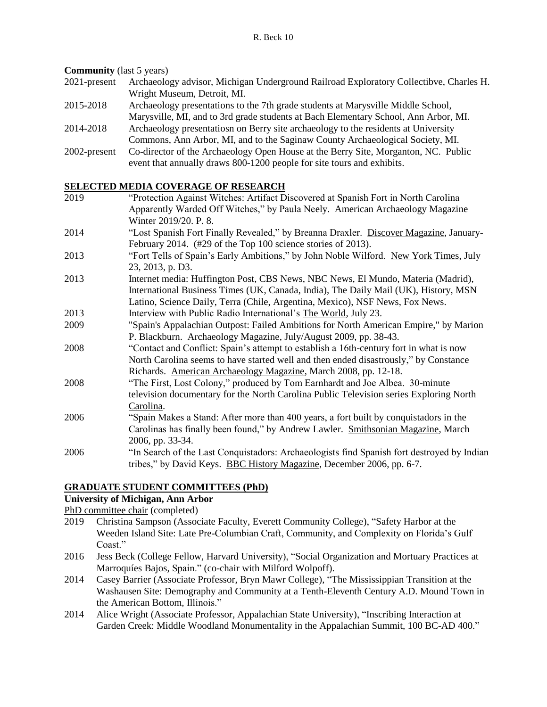**Community** (last 5 years)

- 2021-present Archaeology advisor, Michigan Underground Railroad Exploratory Collectibve, Charles H. Wright Museum, Detroit, MI.
- 2015-2018 Archaeology presentations to the 7th grade students at Marysville Middle School, Marysville, MI, and to 3rd grade students at Bach Elementary School, Ann Arbor, MI.
- 2014-2018 Archaeology presentatiosn on Berry site archaeology to the residents at University Commons, Ann Arbor, MI, and to the Saginaw County Archaeological Society, MI.
- 2002-present Co-director of the Archaeology Open House at the Berry Site, Morganton, NC. Public event that annually draws 800-1200 people for site tours and exhibits.

# **SELECTED MEDIA COVERAGE OF RESEARCH**<br>2019 **Terret Contract Server Contract Server Artifact D**

- "Protection Against Witches: Artifact Discovered at Spanish Fort in North Carolina Apparently Warded Off Witches," by Paula Neely. American Archaeology Magazine Winter 2019/20. P. 8. 2014 "Lost Spanish Fort Finally Revealed," by Breanna Draxler. Discover Magazine, January-February 2014. (#29 of the Top 100 science stories of 2013). 2013 "Fort Tells of Spain's Early Ambitions," by John Noble Wilford. New York Times, July 23, 2013, p. D3. 2013 Internet media: Huffington Post, CBS News, NBC News, El Mundo, Materia (Madrid), International Business Times (UK, Canada, India), The Daily Mail (UK), History, MSN Latino, Science Daily, Terra (Chile, Argentina, Mexico), NSF News, Fox News. 2013 Interview with Public Radio International's The World, July 23. 2009 "Spain's Appalachian Outpost: Failed Ambitions for North American Empire," by Marion P. Blackburn. Archaeology Magazine, July/August 2009, pp. 38-43. 2008 "Contact and Conflict: Spain's attempt to establish a 16th-century fort in what is now North Carolina seems to have started well and then ended disastrously," by Constance Richards. American Archaeology Magazine, March 2008, pp. 12-18. 2008 "The First, Lost Colony," produced by Tom Earnhardt and Joe Albea. 30-minute television documentary for the North Carolina Public Television series Exploring North Carolina. 2006 "Spain Makes a Stand: After more than 400 years, a fort built by conquistadors in the Carolinas has finally been found," by Andrew Lawler. Smithsonian Magazine, March 2006, pp. 33-34.
- 2006 "In Search of the Last Conquistadors: Archaeologists find Spanish fort destroyed by Indian tribes," by David Keys. BBC History Magazine, December 2006, pp. 6-7.

## **GRADUATE STUDENT COMMITTEES (PhD)**

## **University of Michigan, Ann Arbor**

PhD committee chair (completed)

- 2019 Christina Sampson (Associate Faculty, Everett Community College), "Safety Harbor at the Weeden Island Site: Late Pre-Columbian Craft, Community, and Complexity on Florida's Gulf Coast."
- 2016 Jess Beck (College Fellow, Harvard University), "Social Organization and Mortuary Practices at Marroquíes Bajos, Spain." (co-chair with Milford Wolpoff).
- 2014 Casey Barrier (Associate Professor, Bryn Mawr College), "The Mississippian Transition at the Washausen Site: Demography and Community at a Tenth-Eleventh Century A.D. Mound Town in the American Bottom, Illinois."
- 2014 Alice Wright (Associate Professor, Appalachian State University), "Inscribing Interaction at Garden Creek: Middle Woodland Monumentality in the Appalachian Summit, 100 BC-AD 400."